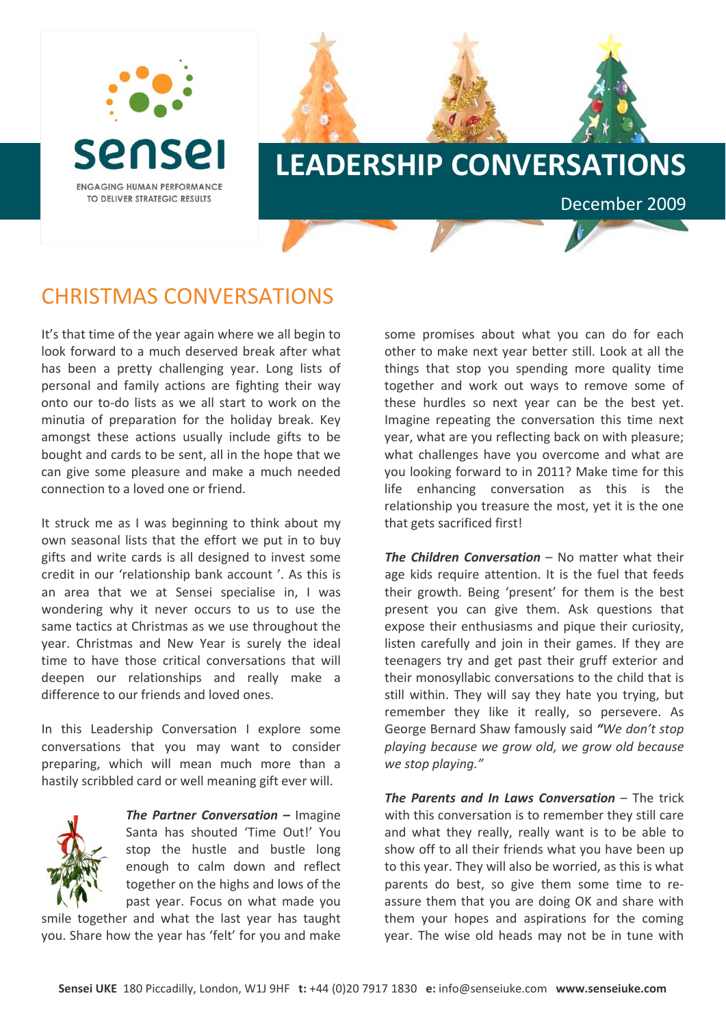

## **LEADERSHIP CONVERSATIONS**

## CHRISTMAS CONVERSATIONS

It's that time of the year again where we all begin to look forward to a much deserved break after what has been a pretty challenging year. Long lists of personal and family actions are fighting their way onto our to‐do lists as we all start to work on the minutia of preparation for the holiday break. Key amongst these actions usually include gifts to be bought and cards to be sent, all in the hope that we can give some pleasure and make a much needed connection to a loved one or friend.

It struck me as I was beginning to think about my own seasonal lists that the effort we put in to buy gifts and write cards is all designed to invest some credit in our 'relationship bank account '. As this is an area that we at Sensei specialise in, I was wondering why it never occurs to us to use the same tactics at Christmas as we use throughout the year. Christmas and New Year is surely the ideal time to have those critical conversations that will deepen our relationships and really make a difference to our friends and loved ones.

In this Leadership Conversation I explore some conversations that you may want to consider preparing, which will mean much more than a hastily scribbled card or well meaning gift ever will.



*The Partner Conversation –* Imagine Santa has shouted 'Time Out!' You stop the hustle and bustle long enough to calm down and reflect together on the highs and lows of the past year. Focus on what made you

smile together and what the last year has taught you. Share how the year has 'felt' for you and make

some promises about what you can do for each other to make next year better still. Look at all the things that stop you spending more quality time together and work out ways to remove some of these hurdles so next year can be the best yet. Imagine repeating the conversation this time next year, what are you reflecting back on with pleasure; what challenges have you overcome and what are you looking forward to in 2011? Make time for this life enhancing conversation as this is the relationship you treasure the most, yet it is the one that gets sacrificed first!

December 2009

*The Children Conversation* – No matter what their age kids require attention. It is the fuel that feeds their growth. Being 'present' for them is the best present you can give them. Ask questions that expose their enthusiasms and pique their curiosity, listen carefully and join in their games. If they are teenagers try and get past their gruff exterior and their monosyllabic conversations to the child that is still within. They will say they hate you trying, but remember they like it really, so persevere. As George Bernard Shaw famously said *"We don't stop playing because we grow old, we grow old because we stop playing."*

*The Parents and In Laws Conversation* – The trick with this conversation is to remember they still care and what they really, really want is to be able to show off to all their friends what you have been up to this year. They will also be worried, as this is what parents do best, so give them some time to re‐ assure them that you are doing OK and share with them your hopes and aspirations for the coming year. The wise old heads may not be in tune with